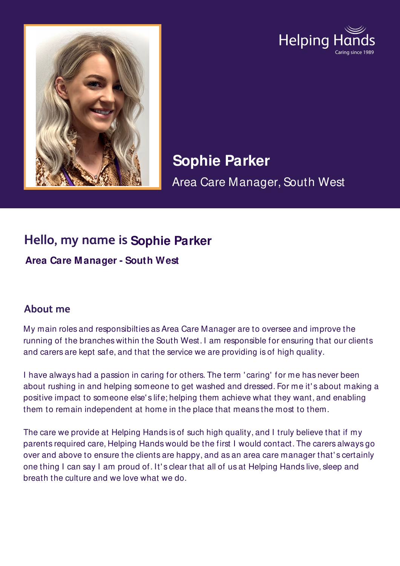



**Sophie Parker** Area Care Manager, South West

## **Hello, my name is Sophie Parker**

**Area Care Manager - South West**

## **About me**

My main roles and responsibilties as Area Care Manager are to oversee and improve the running of the branches within the South West. I am responsible for ensuring that our clients and carers are kept safe, and that the service we are providing is of high quality.

I have always had a passion in caring for others. The term ' caring' for me has never been about rushing in and helping someone to get washed and dressed. For me it' s about making a positive impact to someone else' s life; helping them achieve what they want, and enabling them to remain independent at home in the place that means the most to them.

The care we provide at Helping Hands is of such high quality, and I truly believe that if my parents required care, Helping Hands would be the first I would contact. The carers always go over and above to ensure the clients are happy, and as an area care manager that' s certainly one thing I can say I am proud of. It' s clear that all of us at Helping Hands live, sleep and breath the culture and we love what we do.